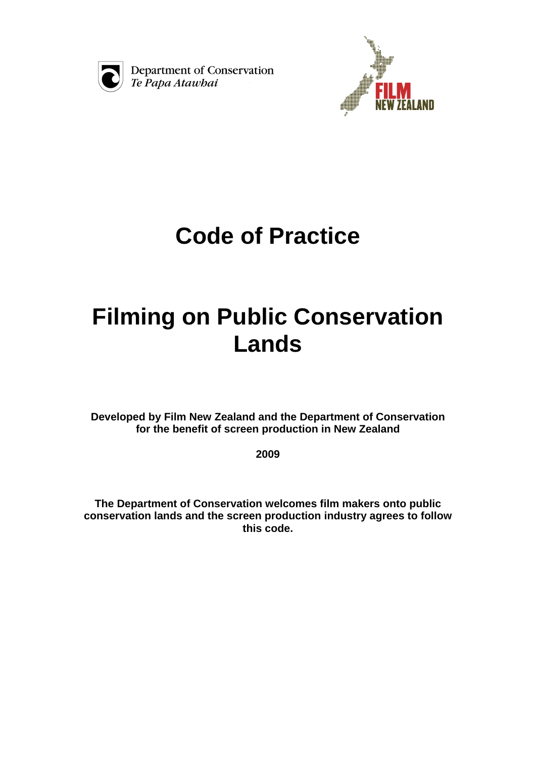

Department of Conservation Te Papa Atawhai



# **Code of Practice**

# **Filming on Public Conservation Lands**

**Developed by Film New Zealand and the Department of Conservation for the benefit of screen production in New Zealand** 

**2009** 

**The Department of Conservation welcomes film makers onto public conservation lands and the screen production industry agrees to follow this code.**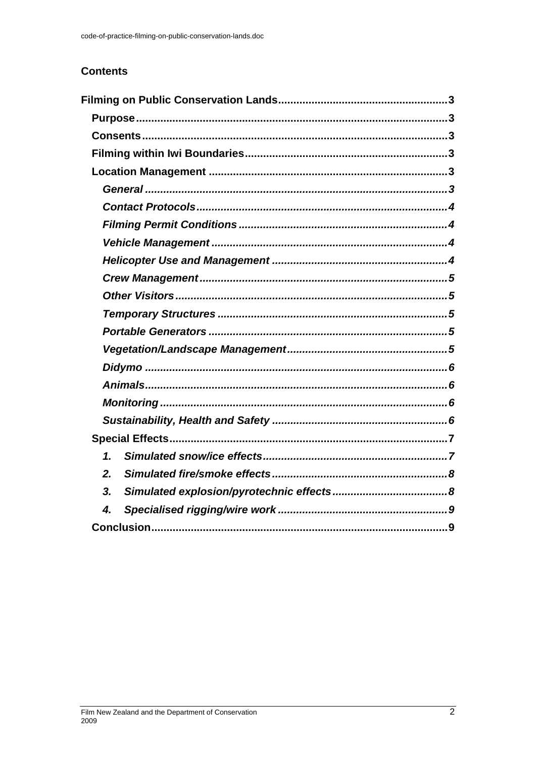# **Contents**

| $\mathbf 1$ |
|-------------|
| 2.          |
| 3.          |
| 4.          |
|             |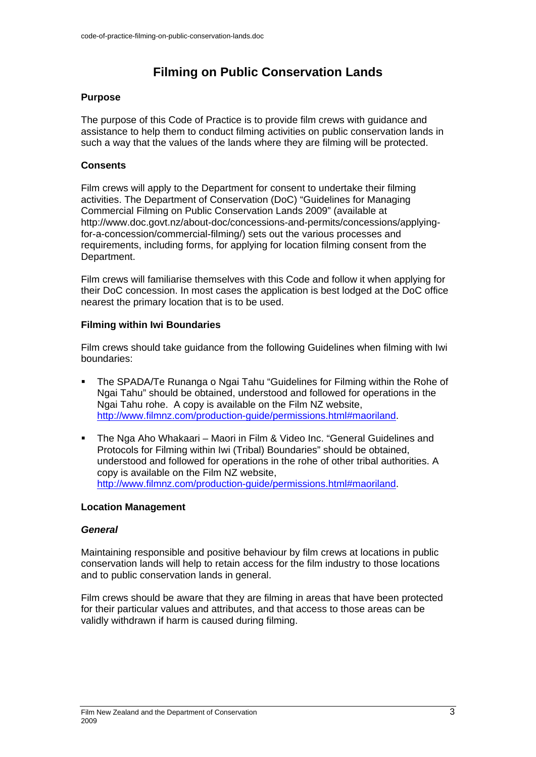# **Filming on Public Conservation Lands**

# **Purpose**

The purpose of this Code of Practice is to provide film crews with guidance and assistance to help them to conduct filming activities on public conservation lands in such a way that the values of the lands where they are filming will be protected.

# **Consents**

Film crews will apply to the Department for consent to undertake their filming activities. The Department of Conservation (DoC) "Guidelines for Managing Commercial Filming on Public Conservation Lands 2009" (available at http://www.doc.govt.nz/about-doc/concessions-and-permits/concessions/applyingfor-a-concession/commercial-filming/) sets out the various processes and requirements, including forms, for applying for location filming consent from the Department.

Film crews will familiarise themselves with this Code and follow it when applying for their DoC concession. In most cases the application is best lodged at the DoC office nearest the primary location that is to be used.

# **Filming within Iwi Boundaries**

Film crews should take guidance from the following Guidelines when filming with Iwi boundaries:

- The SPADA/Te Runanga o Ngai Tahu "Guidelines for Filming within the Rohe of Ngai Tahu" should be obtained, understood and followed for operations in the Ngai Tahu rohe. A copy is available on the Film NZ website, http://www.filmnz.com/production-guide/permissions.html#maoriland.
- The Nga Aho Whakaari Maori in Film & Video Inc. "General Guidelines and Protocols for Filming within Iwi (Tribal) Boundaries" should be obtained, understood and followed for operations in the rohe of other tribal authorities. A copy is available on the Film NZ website, http://www.filmnz.com/production-guide/permissions.html#maoriland.

#### **Location Management**

#### *General*

Maintaining responsible and positive behaviour by film crews at locations in public conservation lands will help to retain access for the film industry to those locations and to public conservation lands in general.

Film crews should be aware that they are filming in areas that have been protected for their particular values and attributes, and that access to those areas can be validly withdrawn if harm is caused during filming.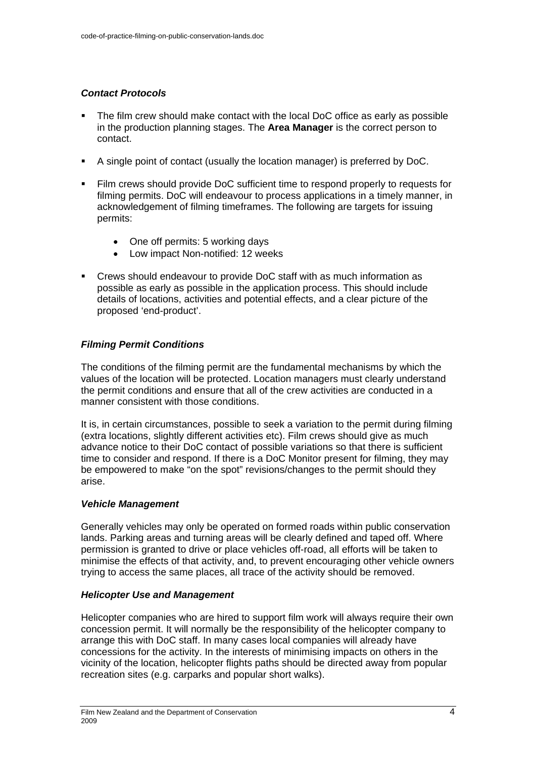# *Contact Protocols*

- The film crew should make contact with the local DoC office as early as possible in the production planning stages. The **Area Manager** is the correct person to contact.
- A single point of contact (usually the location manager) is preferred by DoC.
- Film crews should provide DoC sufficient time to respond properly to requests for filming permits. DoC will endeavour to process applications in a timely manner, in acknowledgement of filming timeframes. The following are targets for issuing permits:
	- One off permits: 5 working days
	- Low impact Non-notified: 12 weeks
- Crews should endeavour to provide DoC staff with as much information as possible as early as possible in the application process. This should include details of locations, activities and potential effects, and a clear picture of the proposed 'end-product'.

# *Filming Permit Conditions*

The conditions of the filming permit are the fundamental mechanisms by which the values of the location will be protected. Location managers must clearly understand the permit conditions and ensure that all of the crew activities are conducted in a manner consistent with those conditions.

It is, in certain circumstances, possible to seek a variation to the permit during filming (extra locations, slightly different activities etc). Film crews should give as much advance notice to their DoC contact of possible variations so that there is sufficient time to consider and respond. If there is a DoC Monitor present for filming, they may be empowered to make "on the spot" revisions/changes to the permit should they arise.

# *Vehicle Management*

Generally vehicles may only be operated on formed roads within public conservation lands. Parking areas and turning areas will be clearly defined and taped off. Where permission is granted to drive or place vehicles off-road, all efforts will be taken to minimise the effects of that activity, and, to prevent encouraging other vehicle owners trying to access the same places, all trace of the activity should be removed.

# *Helicopter Use and Management*

Helicopter companies who are hired to support film work will always require their own concession permit. It will normally be the responsibility of the helicopter company to arrange this with DoC staff. In many cases local companies will already have concessions for the activity. In the interests of minimising impacts on others in the vicinity of the location, helicopter flights paths should be directed away from popular recreation sites (e.g. carparks and popular short walks).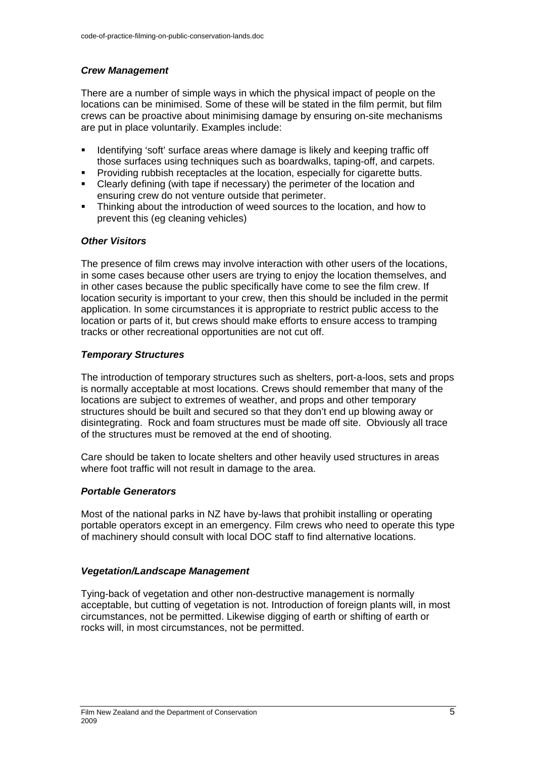# *Crew Management*

There are a number of simple ways in which the physical impact of people on the locations can be minimised. Some of these will be stated in the film permit, but film crews can be proactive about minimising damage by ensuring on-site mechanisms are put in place voluntarily. Examples include:

- **IDENTIFY IDENT** Identifying 'soft' surface areas where damage is likely and keeping traffic off those surfaces using techniques such as boardwalks, taping-off, and carpets.
- **Providing rubbish receptacles at the location, especially for cigarette butts.**
- Clearly defining (with tape if necessary) the perimeter of the location and ensuring crew do not venture outside that perimeter.
- Thinking about the introduction of weed sources to the location, and how to prevent this (eg cleaning vehicles)

#### *Other Visitors*

The presence of film crews may involve interaction with other users of the locations, in some cases because other users are trying to enjoy the location themselves, and in other cases because the public specifically have come to see the film crew. If location security is important to your crew, then this should be included in the permit application. In some circumstances it is appropriate to restrict public access to the location or parts of it, but crews should make efforts to ensure access to tramping tracks or other recreational opportunities are not cut off.

#### *Temporary Structures*

The introduction of temporary structures such as shelters, port-a-loos, sets and props is normally acceptable at most locations. Crews should remember that many of the locations are subject to extremes of weather, and props and other temporary structures should be built and secured so that they don't end up blowing away or disintegrating. Rock and foam structures must be made off site. Obviously all trace of the structures must be removed at the end of shooting.

Care should be taken to locate shelters and other heavily used structures in areas where foot traffic will not result in damage to the area.

#### *Portable Generators*

Most of the national parks in NZ have by-laws that prohibit installing or operating portable operators except in an emergency. Film crews who need to operate this type of machinery should consult with local DOC staff to find alternative locations.

#### *Vegetation/Landscape Management*

Tying-back of vegetation and other non-destructive management is normally acceptable, but cutting of vegetation is not. Introduction of foreign plants will, in most circumstances, not be permitted. Likewise digging of earth or shifting of earth or rocks will, in most circumstances, not be permitted.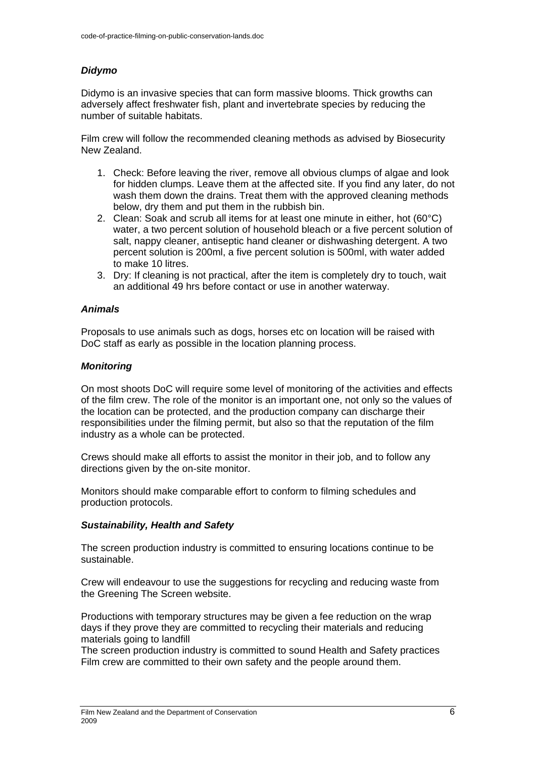# *Didymo*

Didymo is an invasive species that can form massive blooms. Thick growths can adversely affect freshwater fish, plant and invertebrate species by reducing the number of suitable habitats.

Film crew will follow the recommended cleaning methods as advised by Biosecurity New Zealand.

- 1. Check: Before leaving the river, remove all obvious clumps of algae and look for hidden clumps. Leave them at the affected site. If you find any later, do not wash them down the drains. Treat them with the approved cleaning methods below, dry them and put them in the rubbish bin.
- 2. Clean: Soak and scrub all items for at least one minute in either, hot  $(60^{\circ}C)$ water, a two percent solution of household bleach or a five percent solution of salt, nappy cleaner, antiseptic hand cleaner or dishwashing detergent. A two percent solution is 200ml, a five percent solution is 500ml, with water added to make 10 litres.
- 3. Dry: If cleaning is not practical, after the item is completely dry to touch, wait an additional 49 hrs before contact or use in another waterway.

# *Animals*

Proposals to use animals such as dogs, horses etc on location will be raised with DoC staff as early as possible in the location planning process.

# *Monitoring*

On most shoots DoC will require some level of monitoring of the activities and effects of the film crew. The role of the monitor is an important one, not only so the values of the location can be protected, and the production company can discharge their responsibilities under the filming permit, but also so that the reputation of the film industry as a whole can be protected.

Crews should make all efforts to assist the monitor in their job, and to follow any directions given by the on-site monitor.

Monitors should make comparable effort to conform to filming schedules and production protocols.

#### *Sustainability, Health and Safety*

The screen production industry is committed to ensuring locations continue to be sustainable.

Crew will endeavour to use the suggestions for recycling and reducing waste from the Greening The Screen website.

Productions with temporary structures may be given a fee reduction on the wrap days if they prove they are committed to recycling their materials and reducing materials going to landfill

The screen production industry is committed to sound Health and Safety practices Film crew are committed to their own safety and the people around them.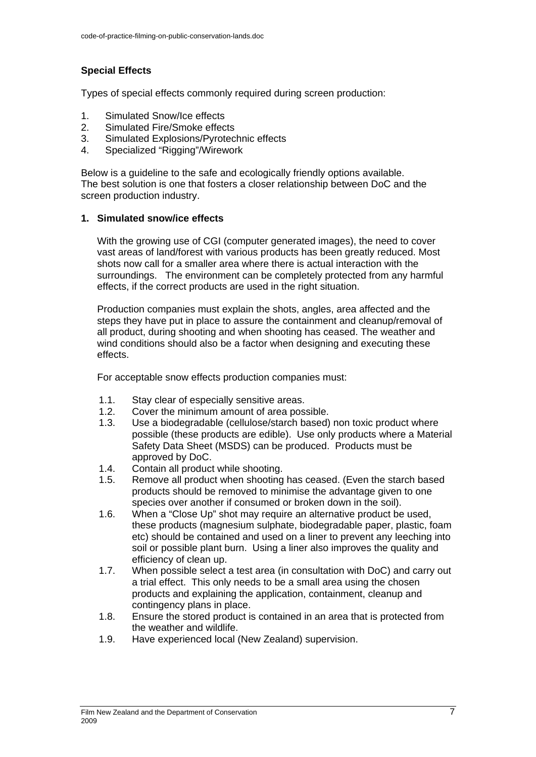# **Special Effects**

Types of special effects commonly required during screen production:

- 1. Simulated Snow/Ice effects
- 2. Simulated Fire/Smoke effects
- 3. Simulated Explosions/Pyrotechnic effects
- 4. Specialized "Rigging"/Wirework

Below is a guideline to the safe and ecologically friendly options available. The best solution is one that fosters a closer relationship between DoC and the screen production industry.

# **1. Simulated snow/ice effects**

With the growing use of CGI (computer generated images), the need to cover vast areas of land/forest with various products has been greatly reduced. Most shots now call for a smaller area where there is actual interaction with the surroundings. The environment can be completely protected from any harmful effects, if the correct products are used in the right situation.

Production companies must explain the shots, angles, area affected and the steps they have put in place to assure the containment and cleanup/removal of all product, during shooting and when shooting has ceased. The weather and wind conditions should also be a factor when designing and executing these effects.

For acceptable snow effects production companies must:

- 1.1. Stay clear of especially sensitive areas.
- 1.2. Cover the minimum amount of area possible.
- 1.3. Use a biodegradable (cellulose/starch based) non toxic product where possible (these products are edible). Use only products where a Material Safety Data Sheet (MSDS) can be produced. Products must be approved by DoC.
- 1.4. Contain all product while shooting.
- 1.5. Remove all product when shooting has ceased. (Even the starch based products should be removed to minimise the advantage given to one species over another if consumed or broken down in the soil).
- 1.6. When a "Close Up" shot may require an alternative product be used, these products (magnesium sulphate, biodegradable paper, plastic, foam etc) should be contained and used on a liner to prevent any leeching into soil or possible plant burn. Using a liner also improves the quality and efficiency of clean up.
- 1.7. When possible select a test area (in consultation with DoC) and carry out a trial effect. This only needs to be a small area using the chosen products and explaining the application, containment, cleanup and contingency plans in place.
- 1.8. Ensure the stored product is contained in an area that is protected from the weather and wildlife.
- 1.9. Have experienced local (New Zealand) supervision.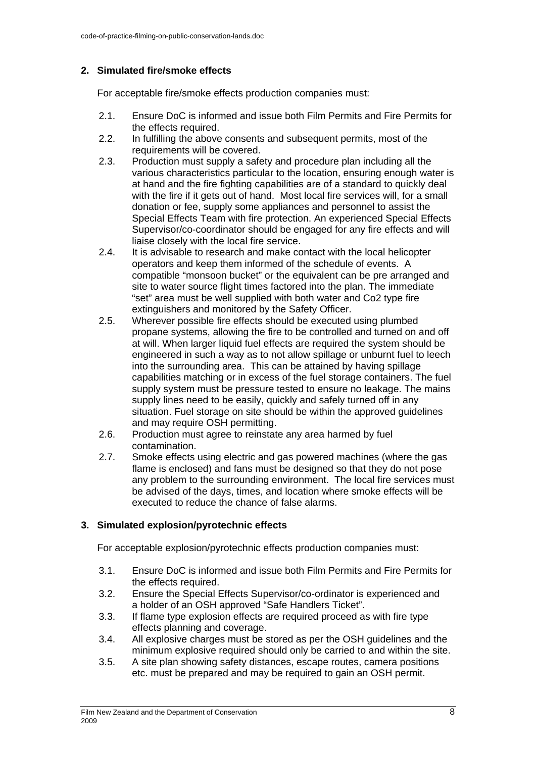# **2. Simulated fire/smoke effects**

For acceptable fire/smoke effects production companies must:

- 2.1. Ensure DoC is informed and issue both Film Permits and Fire Permits for the effects required.
- 2.2. In fulfilling the above consents and subsequent permits, most of the requirements will be covered.
- 2.3. Production must supply a safety and procedure plan including all the various characteristics particular to the location, ensuring enough water is at hand and the fire fighting capabilities are of a standard to quickly deal with the fire if it gets out of hand. Most local fire services will, for a small donation or fee, supply some appliances and personnel to assist the Special Effects Team with fire protection. An experienced Special Effects Supervisor/co-coordinator should be engaged for any fire effects and will liaise closely with the local fire service.
- 2.4. It is advisable to research and make contact with the local helicopter operators and keep them informed of the schedule of events. A compatible "monsoon bucket" or the equivalent can be pre arranged and site to water source flight times factored into the plan. The immediate "set" area must be well supplied with both water and Co2 type fire extinguishers and monitored by the Safety Officer.
- 2.5. Wherever possible fire effects should be executed using plumbed propane systems, allowing the fire to be controlled and turned on and off at will. When larger liquid fuel effects are required the system should be engineered in such a way as to not allow spillage or unburnt fuel to leech into the surrounding area. This can be attained by having spillage capabilities matching or in excess of the fuel storage containers. The fuel supply system must be pressure tested to ensure no leakage. The mains supply lines need to be easily, quickly and safely turned off in any situation. Fuel storage on site should be within the approved guidelines and may require OSH permitting.
- 2.6. Production must agree to reinstate any area harmed by fuel contamination.
- 2.7. Smoke effects using electric and gas powered machines (where the gas flame is enclosed) and fans must be designed so that they do not pose any problem to the surrounding environment. The local fire services must be advised of the days, times, and location where smoke effects will be executed to reduce the chance of false alarms.

# **3. Simulated explosion/pyrotechnic effects**

For acceptable explosion/pyrotechnic effects production companies must:

- 3.1. Ensure DoC is informed and issue both Film Permits and Fire Permits for the effects required.
- 3.2. Ensure the Special Effects Supervisor/co-ordinator is experienced and a holder of an OSH approved "Safe Handlers Ticket".
- 3.3. If flame type explosion effects are required proceed as with fire type effects planning and coverage.
- 3.4. All explosive charges must be stored as per the OSH guidelines and the minimum explosive required should only be carried to and within the site.
- 3.5. A site plan showing safety distances, escape routes, camera positions etc. must be prepared and may be required to gain an OSH permit.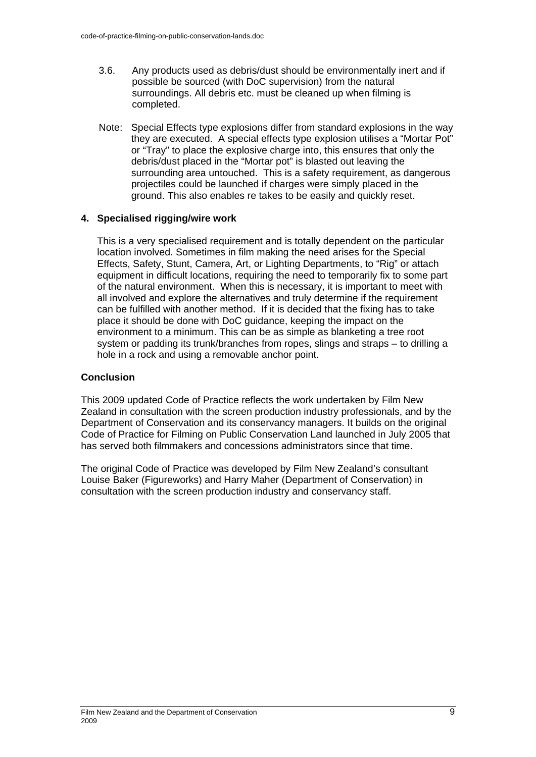- 3.6. Any products used as debris/dust should be environmentally inert and if possible be sourced (with DoC supervision) from the natural surroundings. All debris etc. must be cleaned up when filming is completed.
- Note: Special Effects type explosions differ from standard explosions in the way they are executed. A special effects type explosion utilises a "Mortar Pot" or "Tray" to place the explosive charge into, this ensures that only the debris/dust placed in the "Mortar pot" is blasted out leaving the surrounding area untouched. This is a safety requirement, as dangerous projectiles could be launched if charges were simply placed in the ground. This also enables re takes to be easily and quickly reset.

# **4. Specialised rigging/wire work**

This is a very specialised requirement and is totally dependent on the particular location involved. Sometimes in film making the need arises for the Special Effects, Safety, Stunt, Camera, Art, or Lighting Departments, to "Rig" or attach equipment in difficult locations, requiring the need to temporarily fix to some part of the natural environment. When this is necessary, it is important to meet with all involved and explore the alternatives and truly determine if the requirement can be fulfilled with another method. If it is decided that the fixing has to take place it should be done with DoC guidance, keeping the impact on the environment to a minimum. This can be as simple as blanketing a tree root system or padding its trunk/branches from ropes, slings and straps – to drilling a hole in a rock and using a removable anchor point.

# **Conclusion**

This 2009 updated Code of Practice reflects the work undertaken by Film New Zealand in consultation with the screen production industry professionals, and by the Department of Conservation and its conservancy managers. It builds on the original Code of Practice for Filming on Public Conservation Land launched in July 2005 that has served both filmmakers and concessions administrators since that time.

The original Code of Practice was developed by Film New Zealand's consultant Louise Baker (Figureworks) and Harry Maher (Department of Conservation) in consultation with the screen production industry and conservancy staff.